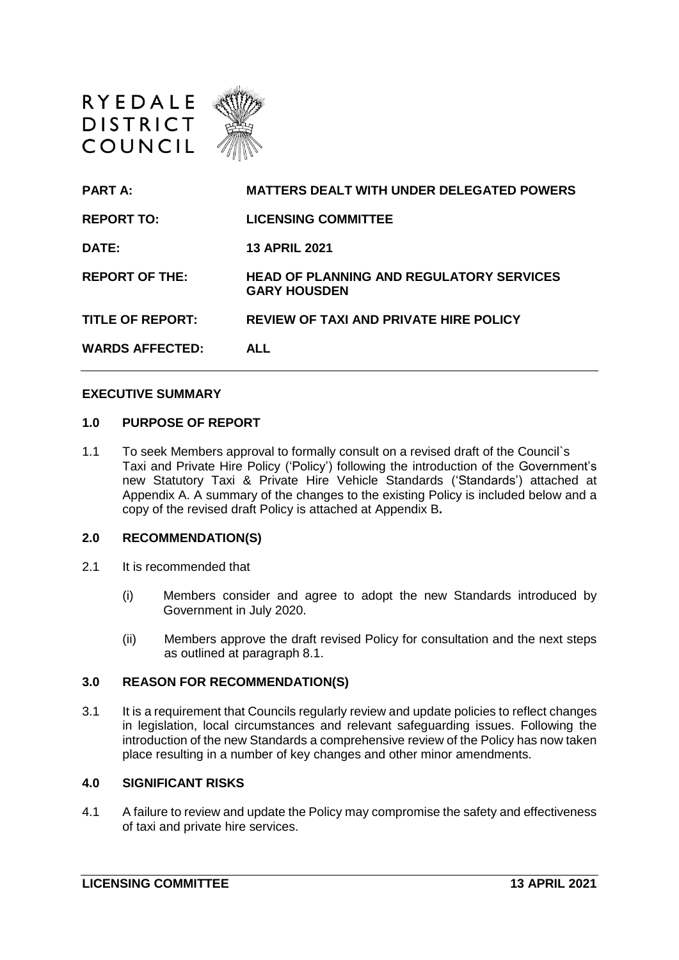



| <b>PART A:</b>          | <b>MATTERS DEALT WITH UNDER DELEGATED POWERS</b>                       |
|-------------------------|------------------------------------------------------------------------|
| <b>REPORT TO:</b>       | <b>LICENSING COMMITTEE</b>                                             |
| DATE:                   | <b>13 APRIL 2021</b>                                                   |
| <b>REPORT OF THE:</b>   | <b>HEAD OF PLANNING AND REGULATORY SERVICES</b><br><b>GARY HOUSDEN</b> |
| <b>TITLE OF REPORT:</b> | <b>REVIEW OF TAXI AND PRIVATE HIRE POLICY</b>                          |
| <b>WARDS AFFECTED:</b>  | AI I                                                                   |

### **EXECUTIVE SUMMARY**

### **1.0 PURPOSE OF REPORT**

1.1 To seek Members approval to formally consult on a revised draft of the Council`s Taxi and Private Hire Policy ('Policy') following the introduction of the Government's new Statutory Taxi & Private Hire Vehicle Standards ('Standards') attached at Appendix A. A summary of the changes to the existing Policy is included below and a copy of the revised draft Policy is attached at Appendix B**.**

#### **2.0 RECOMMENDATION(S)**

- 2.1 It is recommended that
	- (i) Members consider and agree to adopt the new Standards introduced by Government in July 2020.
	- (ii) Members approve the draft revised Policy for consultation and the next steps as outlined at paragraph 8.1.

#### **3.0 REASON FOR RECOMMENDATION(S)**

3.1 It is a requirement that Councils regularly review and update policies to reflect changes in legislation, local circumstances and relevant safeguarding issues. Following the introduction of the new Standards a comprehensive review of the Policy has now taken place resulting in a number of key changes and other minor amendments.

## **4.0 SIGNIFICANT RISKS**

4.1 A failure to review and update the Policy may compromise the safety and effectiveness of taxi and private hire services.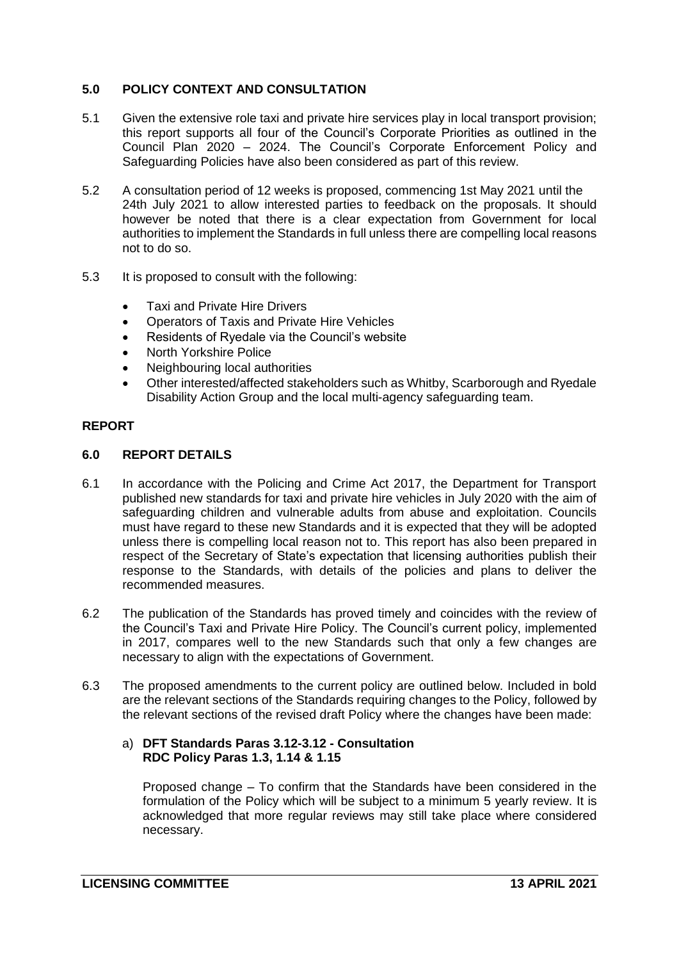# **5.0 POLICY CONTEXT AND CONSULTATION**

- 5.1 Given the extensive role taxi and private hire services play in local transport provision; this report supports all four of the Council's Corporate Priorities as outlined in the Council Plan 2020 – 2024. The Council's Corporate Enforcement Policy and Safeguarding Policies have also been considered as part of this review.
- 5.2 A consultation period of 12 weeks is proposed, commencing 1st May 2021 until the 24th July 2021 to allow interested parties to feedback on the proposals. It should however be noted that there is a clear expectation from Government for local authorities to implement the Standards in full unless there are compelling local reasons not to do so.
- 5.3 It is proposed to consult with the following:
	- Taxi and Private Hire Drivers
	- Operators of Taxis and Private Hire Vehicles
	- Residents of Ryedale via the Council's website
	- North Yorkshire Police
	- Neighbouring local authorities
	- Other interested/affected stakeholders such as Whitby, Scarborough and Ryedale Disability Action Group and the local multi-agency safeguarding team.

#### **REPORT**

#### **6.0 REPORT DETAILS**

- 6.1 In accordance with the Policing and Crime Act 2017, the Department for Transport published new standards for taxi and private hire vehicles in July 2020 with the aim of safeguarding children and vulnerable adults from abuse and exploitation. Councils must have regard to these new Standards and it is expected that they will be adopted unless there is compelling local reason not to. This report has also been prepared in respect of the Secretary of State's expectation that licensing authorities publish their response to the Standards, with details of the policies and plans to deliver the recommended measures.
- 6.2 The publication of the Standards has proved timely and coincides with the review of the Council's Taxi and Private Hire Policy. The Council's current policy, implemented in 2017, compares well to the new Standards such that only a few changes are necessary to align with the expectations of Government.
- 6.3 The proposed amendments to the current policy are outlined below. Included in bold are the relevant sections of the Standards requiring changes to the Policy, followed by the relevant sections of the revised draft Policy where the changes have been made:

### a) **DFT Standards Paras 3.12-3.12 - Consultation RDC Policy Paras 1.3, 1.14 & 1.15**

Proposed change – To confirm that the Standards have been considered in the formulation of the Policy which will be subject to a minimum 5 yearly review. It is acknowledged that more regular reviews may still take place where considered necessary.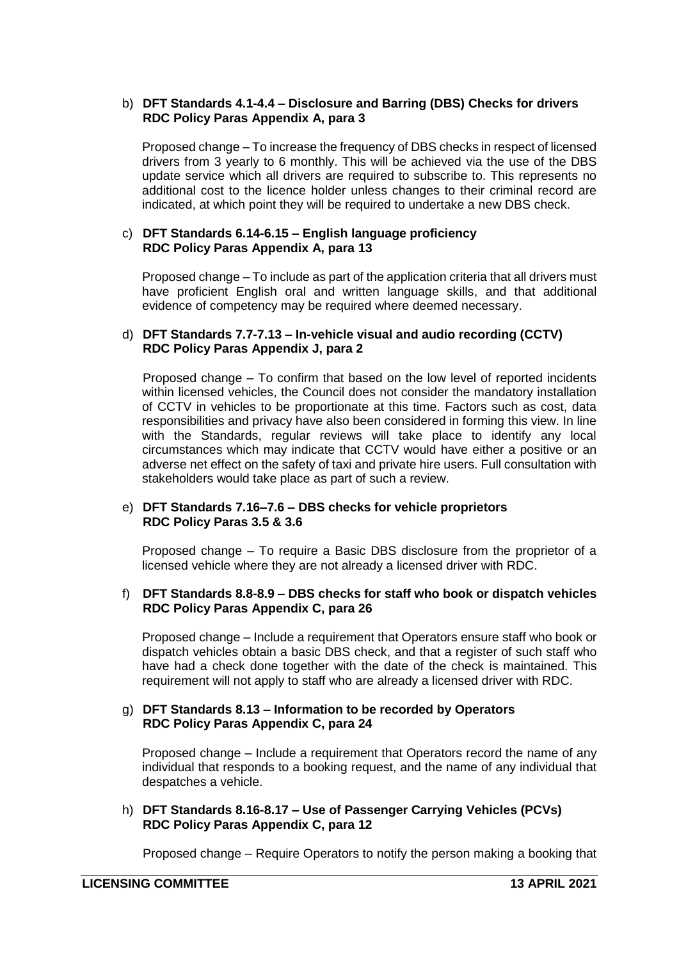## b) **DFT Standards 4.1-4.4 – Disclosure and Barring (DBS) Checks for drivers RDC Policy Paras Appendix A, para 3**

Proposed change – To increase the frequency of DBS checks in respect of licensed drivers from 3 yearly to 6 monthly. This will be achieved via the use of the DBS update service which all drivers are required to subscribe to. This represents no additional cost to the licence holder unless changes to their criminal record are indicated, at which point they will be required to undertake a new DBS check.

## c) **DFT Standards 6.14-6.15 – English language proficiency RDC Policy Paras Appendix A, para 13**

Proposed change – To include as part of the application criteria that all drivers must have proficient English oral and written language skills, and that additional evidence of competency may be required where deemed necessary.

# d) **DFT Standards 7.7-7.13 – In-vehicle visual and audio recording (CCTV) RDC Policy Paras Appendix J, para 2**

Proposed change – To confirm that based on the low level of reported incidents within licensed vehicles, the Council does not consider the mandatory installation of CCTV in vehicles to be proportionate at this time. Factors such as cost, data responsibilities and privacy have also been considered in forming this view. In line with the Standards, regular reviews will take place to identify any local circumstances which may indicate that CCTV would have either a positive or an adverse net effect on the safety of taxi and private hire users. Full consultation with stakeholders would take place as part of such a review.

# e) **DFT Standards 7.16–7.6 – DBS checks for vehicle proprietors RDC Policy Paras 3.5 & 3.6**

Proposed change – To require a Basic DBS disclosure from the proprietor of a licensed vehicle where they are not already a licensed driver with RDC.

## f) **DFT Standards 8.8-8.9 – DBS checks for staff who book or dispatch vehicles RDC Policy Paras Appendix C, para 26**

Proposed change – Include a requirement that Operators ensure staff who book or dispatch vehicles obtain a basic DBS check, and that a register of such staff who have had a check done together with the date of the check is maintained. This requirement will not apply to staff who are already a licensed driver with RDC.

## g) **DFT Standards 8.13 – Information to be recorded by Operators RDC Policy Paras Appendix C, para 24**

Proposed change – Include a requirement that Operators record the name of any individual that responds to a booking request, and the name of any individual that despatches a vehicle.

h) **DFT Standards 8.16-8.17 – Use of Passenger Carrying Vehicles (PCVs) RDC Policy Paras Appendix C, para 12**

Proposed change – Require Operators to notify the person making a booking that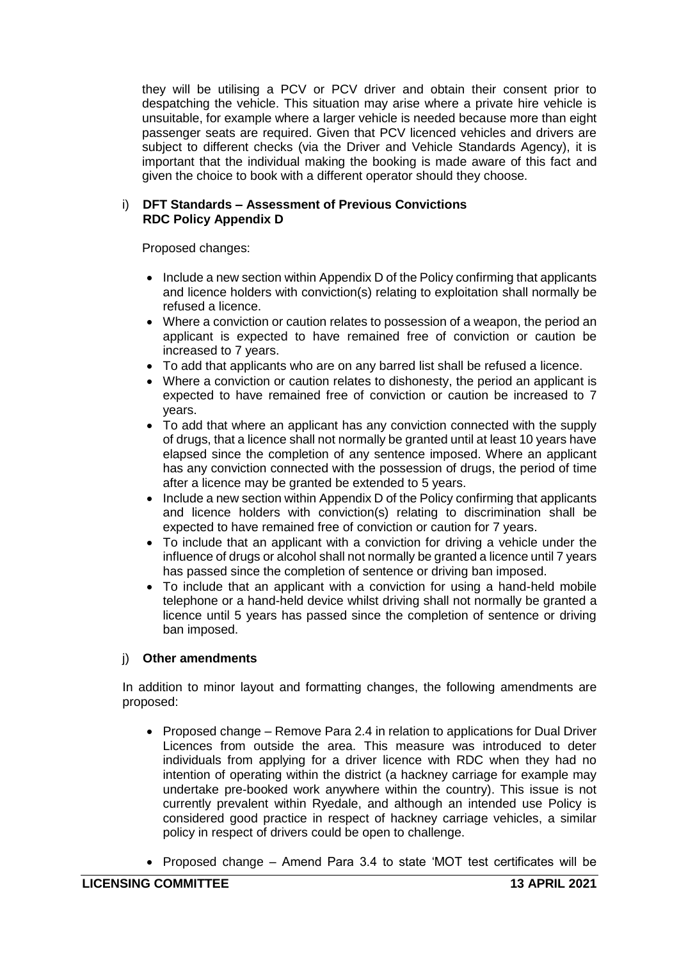they will be utilising a PCV or PCV driver and obtain their consent prior to despatching the vehicle. This situation may arise where a private hire vehicle is unsuitable, for example where a larger vehicle is needed because more than eight passenger seats are required. Given that PCV licenced vehicles and drivers are subject to different checks (via the Driver and Vehicle Standards Agency), it is important that the individual making the booking is made aware of this fact and given the choice to book with a different operator should they choose.

# i) **DFT Standards – Assessment of Previous Convictions RDC Policy Appendix D**

Proposed changes:

- Include a new section within Appendix D of the Policy confirming that applicants and licence holders with conviction(s) relating to exploitation shall normally be refused a licence.
- Where a conviction or caution relates to possession of a weapon, the period an applicant is expected to have remained free of conviction or caution be increased to 7 years.
- To add that applicants who are on any barred list shall be refused a licence.
- Where a conviction or caution relates to dishonesty, the period an applicant is expected to have remained free of conviction or caution be increased to 7 years.
- To add that where an applicant has any conviction connected with the supply of drugs, that a licence shall not normally be granted until at least 10 years have elapsed since the completion of any sentence imposed. Where an applicant has any conviction connected with the possession of drugs, the period of time after a licence may be granted be extended to 5 years.
- Include a new section within Appendix D of the Policy confirming that applicants and licence holders with conviction(s) relating to discrimination shall be expected to have remained free of conviction or caution for 7 years.
- To include that an applicant with a conviction for driving a vehicle under the influence of drugs or alcohol shall not normally be granted a licence until 7 years has passed since the completion of sentence or driving ban imposed.
- To include that an applicant with a conviction for using a hand-held mobile telephone or a hand-held device whilst driving shall not normally be granted a licence until 5 years has passed since the completion of sentence or driving ban imposed.

# j) **Other amendments**

In addition to minor layout and formatting changes, the following amendments are proposed:

- Proposed change Remove Para 2.4 in relation to applications for Dual Driver Licences from outside the area. This measure was introduced to deter individuals from applying for a driver licence with RDC when they had no intention of operating within the district (a hackney carriage for example may undertake pre-booked work anywhere within the country). This issue is not currently prevalent within Ryedale, and although an intended use Policy is considered good practice in respect of hackney carriage vehicles, a similar policy in respect of drivers could be open to challenge.
- Proposed change Amend Para 3.4 to state 'MOT test certificates will be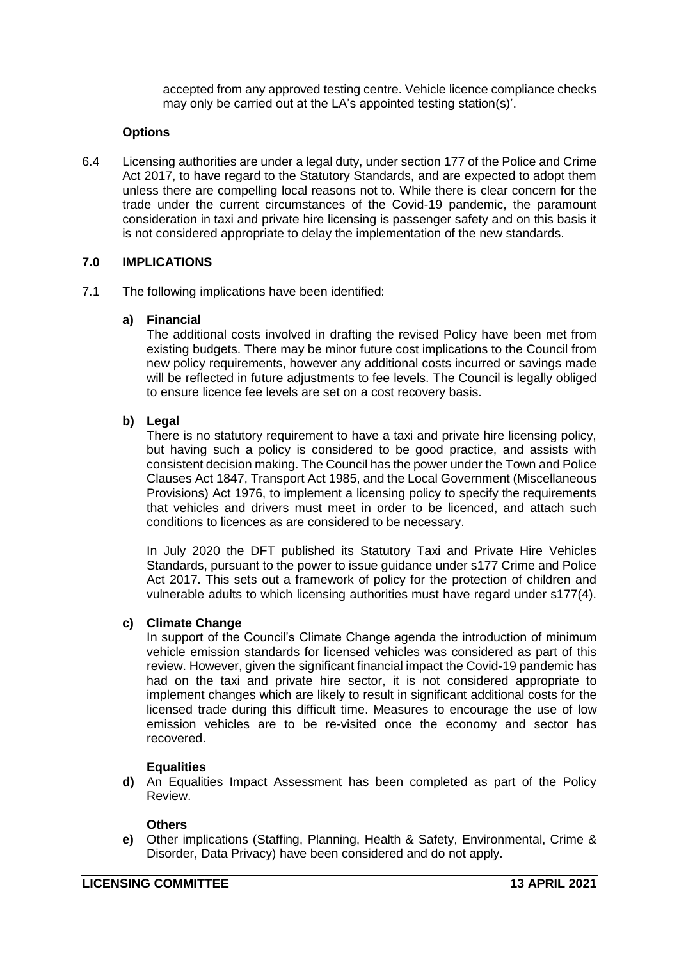accepted from any approved testing centre. Vehicle licence compliance checks may only be carried out at the LA's appointed testing station(s)'.

## **Options**

6.4 Licensing authorities are under a legal duty, under section 177 of the Police and Crime Act 2017, to have regard to the Statutory Standards, and are expected to adopt them unless there are compelling local reasons not to. While there is clear concern for the trade under the current circumstances of the Covid-19 pandemic, the paramount consideration in taxi and private hire licensing is passenger safety and on this basis it is not considered appropriate to delay the implementation of the new standards.

## **7.0 IMPLICATIONS**

7.1 The following implications have been identified:

## **a) Financial**

The additional costs involved in drafting the revised Policy have been met from existing budgets. There may be minor future cost implications to the Council from new policy requirements, however any additional costs incurred or savings made will be reflected in future adjustments to fee levels. The Council is legally obliged to ensure licence fee levels are set on a cost recovery basis.

## **b) Legal**

There is no statutory requirement to have a taxi and private hire licensing policy, but having such a policy is considered to be good practice, and assists with consistent decision making. The Council has the power under the Town and Police Clauses Act 1847, Transport Act 1985, and the Local Government (Miscellaneous Provisions) Act 1976, to implement a licensing policy to specify the requirements that vehicles and drivers must meet in order to be licenced, and attach such conditions to licences as are considered to be necessary.

In July 2020 the DFT published its Statutory Taxi and Private Hire Vehicles Standards, pursuant to the power to issue guidance under s177 Crime and Police Act 2017. This sets out a framework of policy for the protection of children and vulnerable adults to which licensing authorities must have regard under s177(4).

#### **c) Climate Change**

In support of the Council's Climate Change agenda the introduction of minimum vehicle emission standards for licensed vehicles was considered as part of this review. However, given the significant financial impact the Covid-19 pandemic has had on the taxi and private hire sector, it is not considered appropriate to implement changes which are likely to result in significant additional costs for the licensed trade during this difficult time. Measures to encourage the use of low emission vehicles are to be re-visited once the economy and sector has recovered.

## **Equalities**

**d)** An Equalities Impact Assessment has been completed as part of the Policy Review.

## **Others**

**e)** Other implications (Staffing, Planning, Health & Safety, Environmental, Crime & Disorder, Data Privacy) have been considered and do not apply.